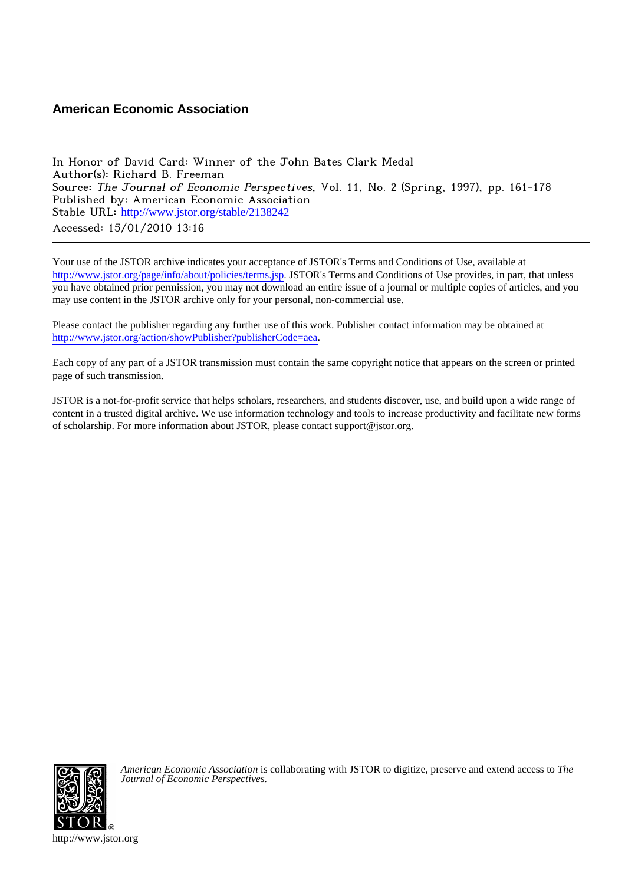# **American Economic Association**

In Honor of David Card: Winner of the John Bates Clark Medal Author(s): Richard B. Freeman Source: The Journal of Economic Perspectives, Vol. 11, No. 2 (Spring, 1997), pp. 161-178 Published by: American Economic Association Stable URL: [http://www.jstor.org/stable/2138242](http://www.jstor.org/stable/2138242?origin=JSTOR-pdf) Accessed: 15/01/2010 13:16

Your use of the JSTOR archive indicates your acceptance of JSTOR's Terms and Conditions of Use, available at <http://www.jstor.org/page/info/about/policies/terms.jsp>. JSTOR's Terms and Conditions of Use provides, in part, that unless you have obtained prior permission, you may not download an entire issue of a journal or multiple copies of articles, and you may use content in the JSTOR archive only for your personal, non-commercial use.

Please contact the publisher regarding any further use of this work. Publisher contact information may be obtained at <http://www.jstor.org/action/showPublisher?publisherCode=aea>.

Each copy of any part of a JSTOR transmission must contain the same copyright notice that appears on the screen or printed page of such transmission.

JSTOR is a not-for-profit service that helps scholars, researchers, and students discover, use, and build upon a wide range of content in a trusted digital archive. We use information technology and tools to increase productivity and facilitate new forms of scholarship. For more information about JSTOR, please contact support@jstor.org.



*American Economic Association* is collaborating with JSTOR to digitize, preserve and extend access to *The Journal of Economic Perspectives.*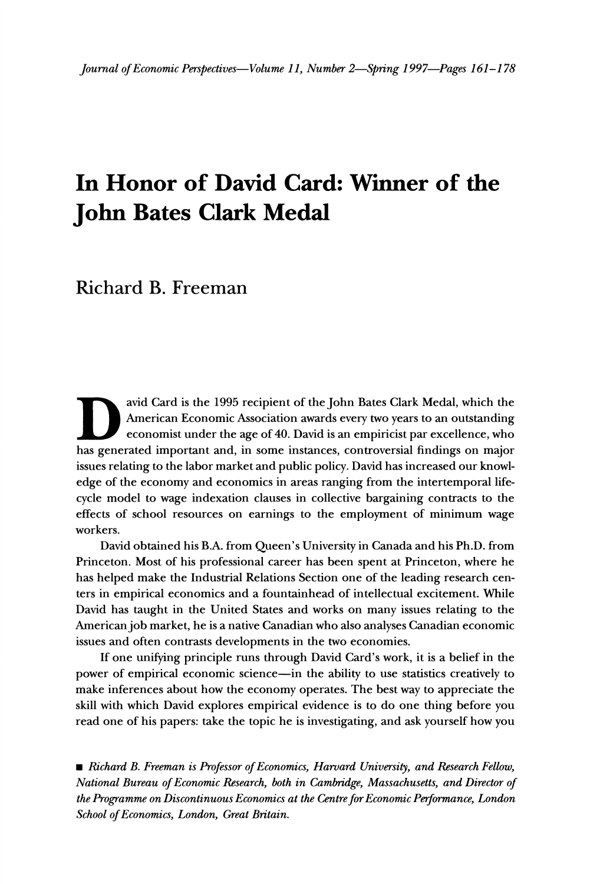# **In Honor of David Card: Winner of the John Bates Clark Medal**

**Richard B. Freeman** 

**avid Card is the 1995 recipient of the John Bates Clark Medal, which the American Economic Association awards every two years to an outstanding economist under the age of 40. David is an empiricist par excellence, who has generated important and, in some instances, controversial findings on major issues relating to the labor market and public policy. David has increased our knowledge of the economy and economics in areas ranging from the intertemporal lifecycle model to wage indexation clauses in collective bargaining contracts to the effects of school resources on earnings to the employment of minimum wage workers.** 

**David obtained his B.A. from Queen's University in Canada and his Ph.D. from Princeton. Most of his professional career has been spent at Princeton, where he has helped make the Industrial Relations Section one of the leading research centers in empirical economics and a fountainhead of intellectual excitement. While David has taught in the United States and works on many issues relating to the American job market, he is a native Canadian who also analyses Canadian economic issues and often contrasts developments in the two economies.** 

**If one unifying principle runs through David Card's work, it is a belief in the power of empirical economic science-in the ability to use statistics creatively to make inferences about how the economy operates. The best way to appreciate the skill with which David explores empirical evidence is to do one thing before you read one of his papers: take the topic he is investigating, and ask yourself how you** 

**\* Richard B. Freeman is Professor of Economics, Harvard University, and Research Fellow, National Bureau of Economic Research, both in Cambridge, Massachusetts, and Director of the Programme on Discontinuous Economics at the Centre forEconomic Performance, London School of Economics, London, Great Britain.**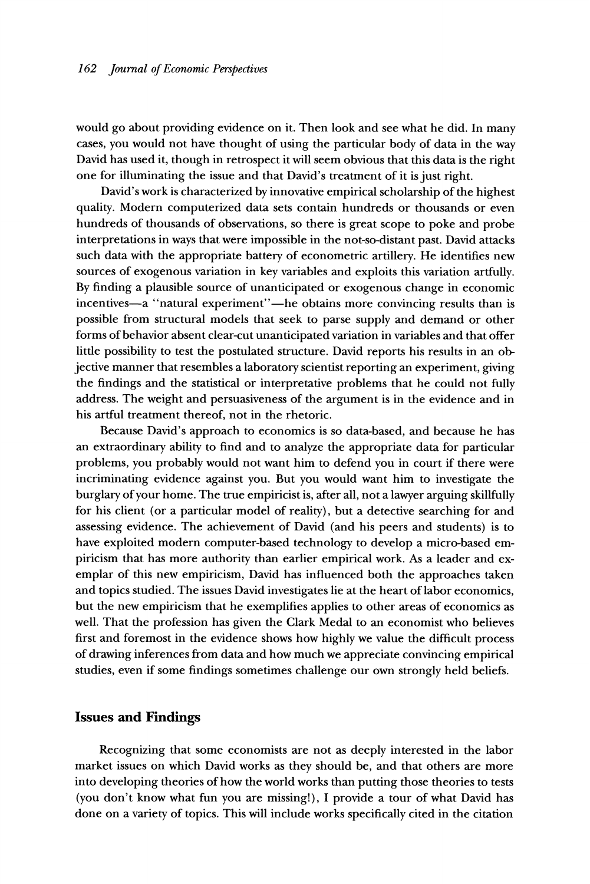**would go about providing evidence on it. Then look and see what he did. In many cases, you would not have thought of using the particular body of data in the way David has used it, though in retrospect it will seem obvious that this data is the right one for illuminating the issue and that David's treatment of it is just right.** 

**David's work is characterized by innovative empirical scholarship of the highest quality. Modern computerized data sets contain hundreds or thousands or even hundreds of thousands of observations, so there is great scope to poke and probe interpretations in ways that were impossible in the not-so-distant past. David attacks such data with the appropriate battery of econometric artillery. He identifies new sources of exogenous variation in key variables and exploits this variation artfully. By finding a plausible source of unanticipated or exogenous change in economic**  incentives-a "natural experiment"-he obtains more convincing results than is **possible from structural models that seek to parse supply and demand or other forms of behavior absent clear-cut unanticipated variation in variables and that offer little possibility to test the postulated structure. David reports his results in an objective manner that resembles a laboratory scientist reporting an experiment, giving the findings and the statistical or interpretative problems that he could not fully address. The weight and persuasiveness of the argument is in the evidence and in his artful treatment thereof, not in the rhetoric.** 

**Because David's approach to economics is so data-based, and because he has an extraordinary ability to find and to analyze the appropriate data for particular problems, you probably would not want him to defend you in court if there were incriminating evidence against you. But you would want him to investigate the burglary of your home. The true empiricist is, after all, not a lawyer arguing skillfully for his client (or a particular model of reality), but a detective searching for and assessing evidence. The achievement of David (and his peers and students) is to have exploited modern computer-based technology to develop a micro-based empiricism that has more authority than earlier empirical work. As a leader and exemplar of this new empiricism, David has influenced both the approaches taken and topics studied. The issues David investigates lie at the heart of labor economics, but the new empiricism that he exemplifies applies to other areas of economics as well. That the profession has given the Clark Medal to an economist who believes first and foremost in the evidence shows how highly we value the difficult process of drawing inferences from data and how much we appreciate convincing empirical studies, even if some findings sometimes challenge our own strongly held beliefs.** 

#### **Issues and Findings**

**Recognizing that some economists are not as deeply interested in the labor market issues on which David works as they should be, and that others are more into developing theories of how the world works than putting those theories to tests (you don't know what fun you are missing!), I provide a tour of what David has done on a variety of topics. This will include works specifically cited in the citation**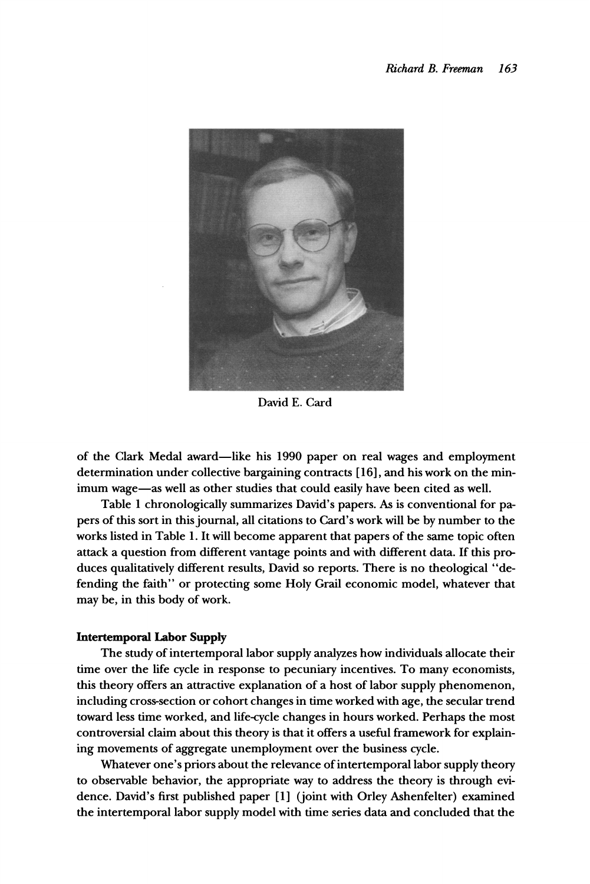

**David E. Card** 

**of the Clark Medal award-like his 1990 paper on real wages and employment determination under collective bargaining contracts [ 16], and his work on the min**imum wage-as well as other studies that could easily have been cited as well.

**Table 1 chronologically summarizes David's papers. As is conventional for papers of this sort in this journal, all citations to Card's work will be by number to the works listed in Table 1. It will become apparent that papers of the same topic often attack a question from different vantage points and with different data. If this produces qualitatively different results, David so reports. There is no theological "defending the faith" or protecting some Holy Grail economic model, whatever that may be, in this body of work.** 

#### **Intertemporal Labor Supply**

**The study of intertemporal labor supply analyzes how individuals allocate their time over the life cycle in response to pecuniary incentives. To many economists, this theory offers an attractive explanation of a host of labor supply phenomenon, including cross-section or cohort changes in time worked with age, the secular trend toward less time worked, and life-cycle changes in hours worked. Perhaps the most controversial claim about this theory is that it offers a useful framework for explaining movements of aggregate unemployment over the business cycle.** 

**Whatever one's priors about the relevance of intertemporal labor supply theory to observable behavior, the appropriate way to address the theory is through evidence. David's first published paper [1] (joint with Orley Ashenfelter) examined the intertemporal labor supply model with time series data and concluded that the**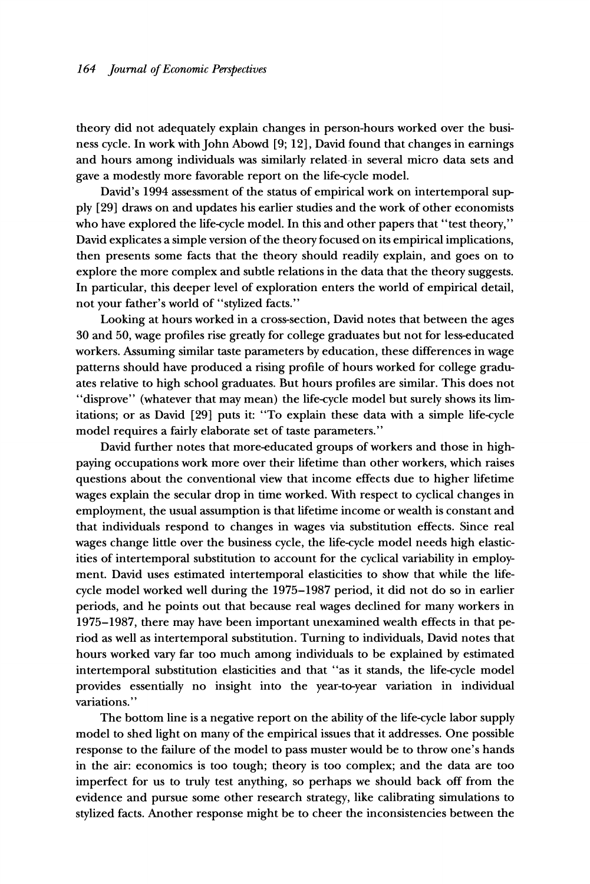**theory did not adequately explain changes in person-hours worked over the business cycle. In work with John Abowd [9; 12], David found that changes in earnings and hours among individuals was similarly related in several micro data sets and gave a modesdly more favorable report on the life-cycle model.** 

**David's 1994 assessment of the status of empirical work on intertemporal supply [29] draws on and updates his earlier studies and the work of other economists**  who have explored the life-cycle model. In this and other papers that "test theory," **David explicates a simple version of the theory focused on its empirical implications, then presents some facts that the theory should readily explain, and goes on to explore the more complex and subtle relations in the data that the theory suggests. In particular, this deeper level of exploration enters the world of empirical detail, not your father's world of "stylized facts."** 

**Looking at hours worked in a cross-section, David notes that between the ages 30 and 50, wage profiles rise greadly for college graduates but not for less-educated workers. Assuming similar taste parameters by education, these differences in wage patterns should have produced a rising profile of hours worked for college graduates relative to high school graduates. But hours profiles are similar. This does not "disprove" (whatever that may mean) the life-cycle model but surely shows its limitations; or as David [29] puts it: "To explain these data with a simple life-cycle model requires a fairly elaborate set of taste parameters."** 

**David further notes that more-educated groups of workers and those in highpaying occupations work more over their lifetime than other workers, which raises questions about the conventional view that income effects due to higher lifetime wages explain the secular drop in time worked. With respect to cyclical changes in employment, the usual assumption is that lifetime income or wealth is constant and that individuals respond to changes in wages via substitution effects. Since real wages change little over the business cycle, the life-cycle model needs high elasticities of intertemporal substitution to account for the cyclical variability in employment. David uses estimated intertemporal elasticities to show that while the lifecycle model worked well during the 1975-1987 period, it did not do so in earlier periods, and he points out that because real wages declined for many workers in 1975-1987, there may have been important unexamined wealth effects in that period as well as intertemporal substitution. Turning to individuals, David notes that hours worked vary far too much among individuals to be explained by estimated intertemporal substitution elasticities and that "as it stands, the life-cycle model provides essentially no insight into the year-to-year variation in individual variations."** 

**The bottom line is a negative report on the ability of the life-cycle labor supply model to shed light on many of the empirical issues that it addresses. One possible response to the failure of the model to pass muster would be to throw one's hands in the air: economics is too tough; theory is too complex; and the data are too imperfect for us to truly test anything, so perhaps we should back off from the evidence and pursue some other research strategy, like calibrating simulations to stylized facts. Another response might be to cheer the inconsistencies between the**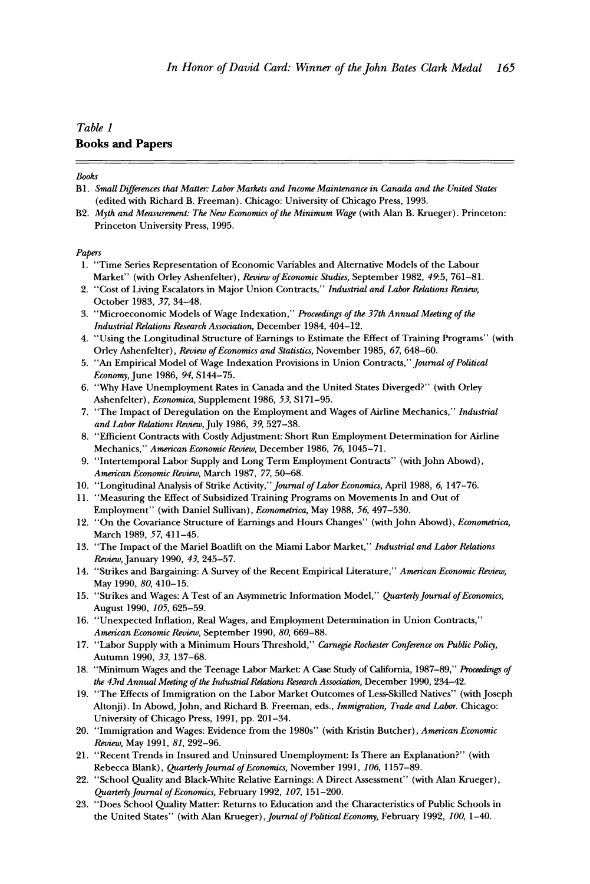## **Table 1 Books and Papers**

#### **Books**

- **Bi. Small Differences that Matter: Labor Markets and Income Maintenance in Canada and the United States (edited with Richard B. Freeman). Chicago: University of Chicago Press, 1993.**
- **B2. Myth and Measurement: The New Economics of the Minimum Wage (with Alan B. Krueger). Princeton: Princeton University Press, 1995.**

#### **Papers**

- **1. "Time Series Representation of Economic Variables and Alternative Models of the Labour Market" (with Orley Ashenfelter), Review of Economic Studies, September 1982, 49:5, 761-81.**
- **2. "Cost of Living Escalators in Major Union Contracts," Industrial and Labor Relations Review, October 1983, 37, 34-48.**
- **3. "Microeconomic Models of Wage Indexation," Proceedings of the 37th Annual Meeting of the Industrial Relations Research Association, December 1984, 404-12.**
- **4. "Using the Longitudinal Structure of Earnings to Estimate the Effect of Training Programs" (with Orley Ashenfelter), Review of Economics and Statistics, November 1985, 67, 648-60.**
- **5. "An Empirical Model of Wage Indexation Provisions in Union Contracts," Journal of Political**  Economy, June 1986, 94, S144-75.
- **6. "Why Have Unemployment Rates in Canada and the United States Diverged?" (with Orley Ashenfelter), Economica, Supplement 1986, 53, S171-95.**
- **7. "The Impact of Deregulation on the Employment and Wages of Airline Mechanics," Industrial and Labor Relations Review, July 1986, 39, 527-38.**
- **8. "Efficient Contracts with Costly Adjustment: Short Run Employment Determination for Airline Mechanics," American Economic Review, December 1986, 76, 1045-71.**
- **9. "Intertemporal Labor Supply and Long Term Employment Contracts" (with John Abowd), American Economic Review, March 1987, 77, 50-68.**
- **10. "Longitudinal Analysis of Strike Activity," Journal of Labor Economics, April 1988, 6, 147-76.**
- **11. "Measuring the Effect of Subsidized Training Programs on Movements In and Out of Employment" (with Daniel Sullivan), Econometrica, May 1988, 56, 497-530.**
- **12. "On the Covariance Structure of Earnings and Hours Changes" (with John Abowd), Econometrica, March 1989, 57, 411-45.**
- **13. "The Impact of the Mariel Boatlift on the Miami Labor Market," Industrial and Labor Relations Review, January 1990, 43, 245-57.**
- **14. "Strikes and Bargaining: A Survey of the Recent Empirical Literature," American Economic Review, May 1990, 80, 410-15.**
- **15. "Strikes and Wages: A Test of an Asymmetric Information Model," Quarterly Journal of Economics, August 1990, 105, 625-59.**
- **16. "Unexpected Inflation, Real Wages, and Employment Determination in Union Contracts," American Economic Review, September 1990, 80, 669-88.**
- **17. "Labor Supply with a Minimum Hours Threshold," Carnegie Rochester Conference on Public Policy, Autumn 1990, 33,137-68.**
- **18. "Minimum Wages and the Teenage Labor Market: A Case Study of California, 1987-89," Proceedings of the 43rd Annual Meeting of the Industrial Relations Research Association, December 1990, 234-42.**
- **19. "The Effects of Immigration on the Labor Market Outcomes of Less-Skilled Natives" (with Joseph Altonji). In Abowd, John, and Richard B. Freeman, eds., Immigration, Trade and Labor. Chicago: University of Chicago Press, 1991, pp. 201-34.**
- **20. "Immigration and Wages: Evidence from the 1980s" (with Kristin Butcher), American Economic Review, May 1991, 81, 292-96.**
- **21. "Recent Trends in Insured and Uninsured Unemployment: Is There an Explanation?" (with Rebecca Blank), Quarterly Journal of Economics, November 1991, 106, 1157-89.**
- **22. "School Quality and Black-White Relative Earnings: A Direct Assessment" (with Alan Krueger), Quarterly Journal of Economics, February 1992, 107, 151-200.**
- **23. "Does School Quality Matter: Returns to Education and the Characteristics of Public Schools in the United States" (with Alan Krueger), Journal of Political Economy, February 1992, 100, 1-40.**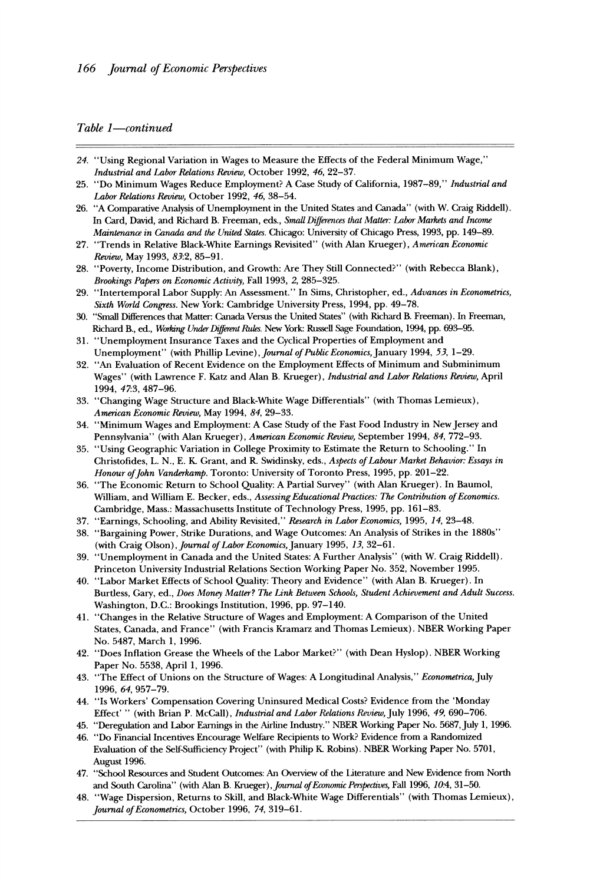#### Table 1-continued

- **24. "Using Regional Variation in Wages to Measure the Effects of the Federal Minimum Wage," Industrial and Labor Relations Review, October 1992, 46, 22-37.**
- **25. "Do Minimum Wages Reduce Employment? A Case Study of California, 1987-89," Industrial and Labor Relations Review, October 1992, 46, 38-54.**
- **26. "A Comparative Analysis of Unemployrnent in the United States and Canada" (with W. Craig Riddell). In Card, David, and Richard B. Freeman, eds., Small Differences that Matter: Labor Markets and Income Maintenance in Canada and the United States. Chicago: University of Chicago Press, 1993, pp. 149-89.**
- **27. "Trends in Relative Black-White Earnings Revisited" (with Alan Krueger), American Economic Review, May 1993, 83:2, 85-91.**
- **28. "Poverty, Income Distribution, and Growth: Are They Still Connected?" (with Rebecca Blank), Brookings Papers on Economic Activity, Fall 1993, 2, 285-325.**
- **29. "Intertemporal Labor Supply: An Assessment." In Sims, Christopher, ed., Advances in Econometrics, Sixth World Congress. New York: Cambridge University Press, 1994, pp. 49-78.**
- **30. "Small Differences that Matter: Canada Versus the United States" (with Richard B. Freeman). In Freeman, Richard B., ed., Working Under Different Rules. New York: Russell Sage Foundation, 1994, pp. 693-95.**
- **31. "Unemployment Insurance Taxes and the Cyclical Properties of Employment and Unemployment" (with Phillip Levine), Journal of Public Economics, January 1994, 53, 1-29.**
- **32. "An Evaluation of Recent Evidence on the Employment Effects of Minimum and Subminimum Wages" (with Lawrence F. Katz and Alan B. Krueger), Industrial and Labor Relations Review, April 1994, 47:3, 487-96.**
- **33. "Changing Wage Structure and Black-White Wage Differentials" (with Thomas Lemieux), American Economic Review, May 1994, 84, 29-33.**
- **34. "Minimum Wages and Employment: A Case Study of the Fast Food Industry in NewJersey and Pennsylvania" (with Alan Krueger), American Economic Review, September 1994, 84, 772-93.**
- **35. "Using Geographic Variation in College Proximity to Estimate the Return to Schooling." In Christofides, L. N., E. K Grant, and R. Swidinsky, eds., Aspects of Labour Market Behavior: Essays in**  Honour of John Vanderkamp. Toronto: University of Toronto Press, 1995, pp. 201-22.
- **36. "The Economic Return to School Quality: A Partial Survey" (with Alan Krueger). In Baumol,**  William, and William E. Becker, eds., Assessing Educational Practices: The Contribution of Economics. **Cambridge, Mass.: Massachusetts Institute of Technology Press, 1995, pp. 161-83.**
- **37. "Earnings, Schooling, and Ability Revisited," Research in Labor Economics, 1995, 14, 23-48.**
- **38. "Bargaining Power, Strike Durations, and Wage Outcomes: An Analysis of Strikes in the 1880s" (with Craig Olson), Journal of Labor Economics, January 1995, 13, 32-61.**
- **39. "Unemployment in Canada and the United States: A Further Analysis" (with W. Craig Riddell). Princeton University Industrial Relations Section Working Paper No. 352, November 1995.**
- **40. "Labor Market Effects of School Quality: Theory and Evidence" (with Alan B. Krueger). In Burtless, Gary, ed., Does Money Matter? The Link Between Schools, Student Achievement and Adult Success. Washington, D.C.: Brookings Institution, 1996, pp. 97-140.**
- **41. "Changes in the Relative Structure of Wages and Employment: A Comparison of the United States, Canada, and France" (with Francis Kramarz and Thomas Lemieux). NBER Working Paper No. 5487, March 1, 1996.**
- **42. "Does Inflation Grease the Wheels of the Labor Market?" (with Dean Hyslop). NBER Working Paper No. 5538, April 1, 1996.**
- **43. "The Effect of Unions on the Structure of Wages: A Longitudinal Analysis," Econometrica, July 1996, 64, 957-79.**
- **44. "Is Workers' Compensation Covering Uninsured Medical Costs? Evidence from the 'Monday Effect' " (with Brian P. McCall), Industrial and Labor Relations Review, July 1996, 49, 690-706.**
- **45. "Deregulation and Labor Earnings in the Airline Industry." NBER Working Paper No. 5687, July 1, 1996.**
- **46. "Do Financial Incentives Encourage Welfare Recipients to Work? Evidence from a Randomized Evaluation of the Self-Sufficiency Project" (with Philip K Robins). NBER Working Paper No. 5701, August 1996.**
- **47. "School Resources and Student Outcomes: An Overview of the Literature and New Evidence from North and South Carolina" (with Alan B. Krueger), Journal of Economic Perspectives, Fall 1996, 10.4, 31-50.**
- **48. "Wage Dispersion, Returns to Skill, and Black-White Wage Differentials" (with Thomas Lemieux), Journal of Econometrics, October 1996, 74, 319-61.**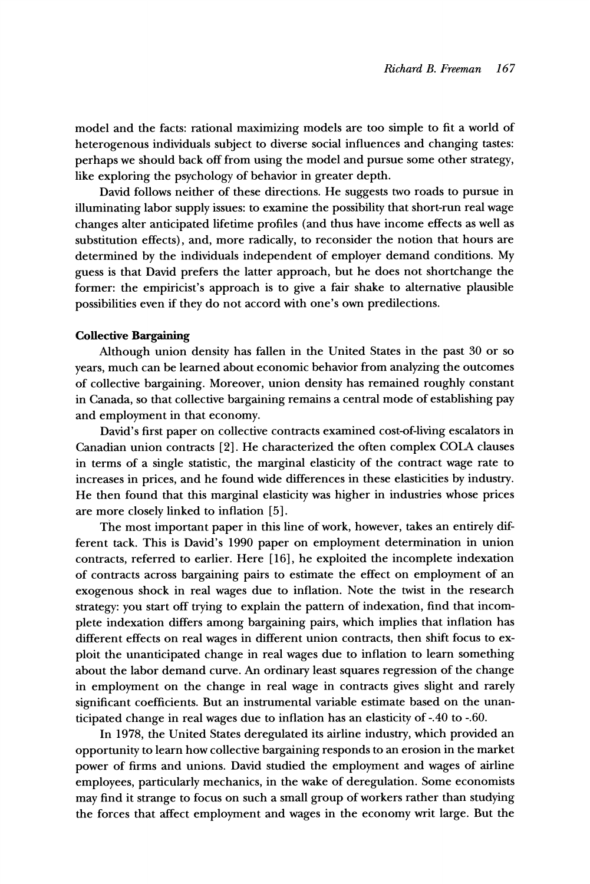**model and the facts: rational maximizing models are too simple to fit a world of heterogenous individuals subject to diverse social influences and changing tastes: perhaps we should back off from using the model and pursue some other strategy, like exploring the psychology of behavior in greater depth.** 

**David follows neither of these directions. He suggests two roads to pursue in illuminating labor supply issues: to examine the possibility that short-run real wage changes alter anticipated lifetime profiles (and thus have income effects as well as substitution effects), and, more radically, to reconsider the notion that hours are determined by the individuals independent of employer demand conditions. My guess is that David prefers the latter approach, but he does not shortchange the former: the empiricist's approach is to give a fair shake to alternative plausible possibilities even if they do not accord with one's own predilections.** 

#### **Collective Bargaining**

**Although union density has fallen in the United States in the past 30 or so years, much can be learned about economic behavior from analyzing the outcomes of collective bargaining. Moreover, union density has remained roughly constant in Canada, so that collective bargaining remains a central mode of establishing pay and employment in that economy.** 

**David's first paper on collective contracts examined cost-of-living escalators in Canadian union contracts [2]. He characterized the often complex COLA clauses in terms of a single statistic, the marginal elasticity of the contract wage rate to increases in prices, and he found wide differences in these elasticities by industry. He then found that this marginal elasticity was higher in industries whose prices are more closely linked to inflation [5].** 

**The most important paper in this line of work, however, takes an entirely different tack. This is David's 1990 paper on employment determination in union contracts, referred to earlier. Here [16], he exploited the incomplete indexation of contracts across bargaining pairs to estimate the effect on employment of an exogenous shock in real wages due to inflation. Note the twist in the research strategy: you start off trying to explain the pattern of indexation, find that incomplete indexation differs among bargaining pairs, which implies that inflation has different effects on real wages in different union contracts, then shift focus to exploit the unanticipated change in real wages due to inflation to learn something about the labor demand curve. An ordinary least squares regression of the change in employment on the change in real wage in contracts gives slight and rarely significant coefficients. But an instrumental variable estimate based on the unanticipated change in real wages due to inflation has an elasticity of -.40 to -.60.** 

**In 1978, the United States deregulated its airline industry, which provided an opportunity to learn how collective bargaining responds to an erosion in the market power of firms and unions. David studied the employment and wages of airline employees, particularly mechanics, in the wake of deregulation. Some economists may find it strange to focus on such a small group of workers rather than studying the forces that affect employment and wages in the economy writ large. But the**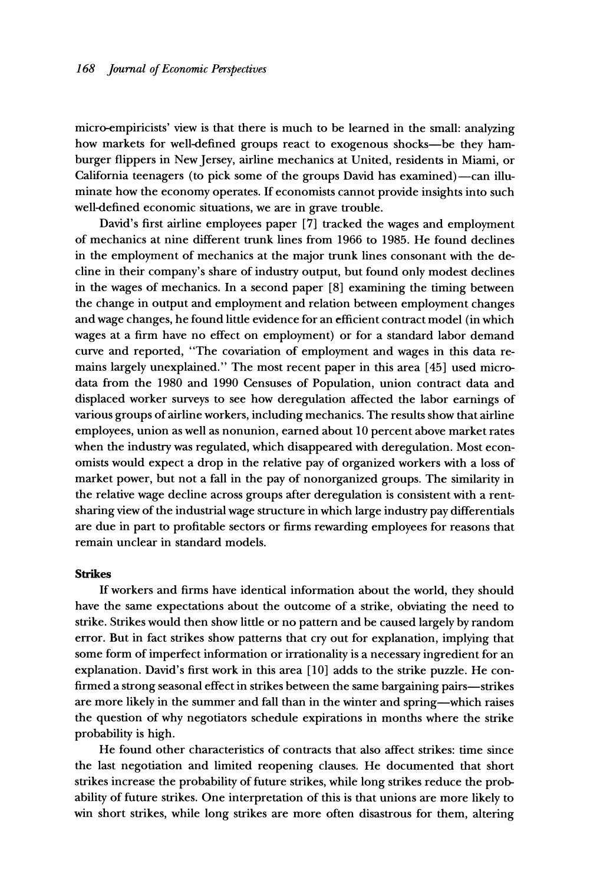**micro-empiricists' view is that there is much to be learned in the small: analyzing how markets for well-defined groups react to exogenous shocks-be they hamburger flippers in NewJersey, airline mechanics at United, residents in Miami, or**  California teenagers (to pick some of the groups David has examined)—can illu**minate how the economy operates. If economists cannot provide insights into such well-defined economic situations, we are in grave trouble.** 

**David's first airline employees paper [7] tracked the wages and employment of mechanics at nine different trunk lines from 1966 to 1985. He found declines in the employment of mechanics at the major trunk lines consonant with the decline in their company's share of industry output, but found only modest declines in the wages of mechanics. In a second paper [8] examining the timing between the change in output and employment and relation between employment changes and wage changes, he found litfie evidence for an efficient contract model (in which wages at a firm have no effect on employment) or for a standard labor demand curve and reported, "The covariation of employment and wages in this data remains largely unexplained." The most recent paper in this area [45] used microdata from the 1980 and 1990 Censuses of Population, union contract data and displaced worker surveys to see how deregulation affected the labor earnings of various groups of airline workers, including mechanics. The results show that airline employees, union as well as nonunion, earned about 10 percent above market rates when the industry was regulated, which disappeared with deregulation. Most economists would expect a drop in the relative pay of organized workers with a loss of market power, but not a fall in the pay of nonorganized groups. The similarity in the relative wage decline across groups after deregulation is consistent with a rentsharing view of the industrial wage structure in which large industry pay differentials are due in part to profitable sectors or firms rewarding employees for reasons that remain unclear in standard models.** 

#### **Strikes**

**If workers and firms have identical information about the world, they should have the same expectations about the outcome of a strike, obviating the need to strike. Strikes would then show litfie or no pattern and be caused largely by random error. But in fact strikes show patterns that cry out for explanation, implying that some form of imperfect information or irrationality is a necessary ingredient for an explanation. David's first work in this area [10] adds to the strike puzzle. He confirmed a strong seasonal effect in strikes between the same bargaining pairs-strikes are more likely in the summer and fall than in the winter and spring-which raises the question of why negotiators schedule expirations in months where the strike probability is high.** 

**He found other characteristics of contracts that also affect strikes: time since the last negotiation and limited reopening clauses. He documented that short strikes increase the probability of future strikes, while long strikes reduce the probability of future strikes. One interpretation of this is that unions are more likely to win short strikes, while long strikes are more often disastrous for them, altering**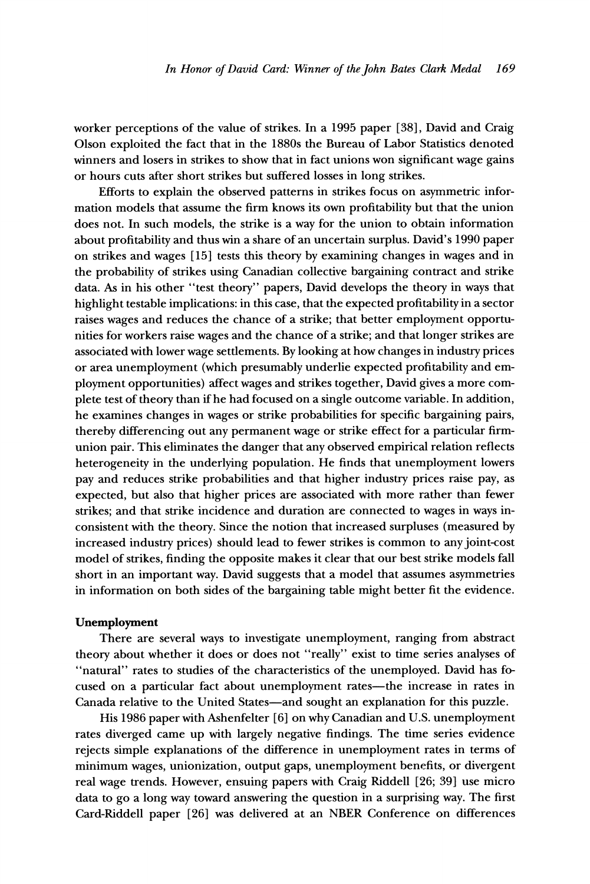**worker perceptions of the value of strikes. In a 1995 paper [38], David and Craig Olson exploited the fact that in the 1880s the Bureau of Labor Statistics denoted winners and losers in strikes to show that in fact unions won significant wage gains or hours cuts after short strikes but suffered losses in long strikes.** 

**Efforts to explain the observed patterns in strikes focus on asymmetric information models that assume the firm knows its own profitability but that the union does not. In such models, the strike is a way for the union to obtain information about profitability and thus win a share of an uncertain surplus. David's 1990 paper on strikes and wages [15] tests this theory by examining changes in wages and in the probability of strikes using Canadian collective bargaining contract and strike data. As in his other "test theory" papers, David develops the theory in ways that highlight testable implications: in this case, that the expected profitability in a sector raises wages and reduces the chance of a strike; that better employment opportunities for workers raise wages and the chance of a strike; and that longer strikes are associated with lower wage settlements. By looking at how changes in industry prices or area unemployment (which presumably underlie expected profitability and employment opportunities) affect wages and strikes together, David gives a more complete test of theory than if he had focused on a single outcome variable. In addition, he examines changes in wages or strike probabilities for specific bargaining pairs, thereby differencing out any permanent wage or strike effect for a particular firmunion pair. This eliminates the danger that any observed empirical relation reflects heterogeneity in the underlying population. He finds that unemployment lowers pay and reduces strike probabilities and that higher industry prices raise pay, as expected, but also that higher prices are associated with more rather than fewer strikes; and that strike incidence and duration are connected to wages in ways inconsistent with the theory. Since the notion that increased surpluses (measured by increased industry prices) should lead to fewer strikes is common to any joint-cost model of strikes, finding the opposite makes it clear that our best strike models fall short in an important way. David suggests that a model that assumes asymmetries in information on both sides of the bargaining table might better fit the evidence.** 

#### **Unemployment**

**There are several ways to investigate unemployment, ranging from abstract theory about whether it does or does not "really" exist to time series analyses of "natural" rates to studies of the characteristics of the unemployed. David has fo**cused on a particular fact about unemployment rates-the increase in rates in Canada relative to the United States-and sought an explanation for this puzzle.

**His 1986 paper with Ashenfelter [6] on why Canadian and U.S. unemployment rates diverged came up with largely negative findings. The time series evidence rejects simple explanations of the difference in unemployment rates in terms of minimum wages, unionization, output gaps, unemployment benefits, or divergent real wage trends. However, ensuing papers with Craig Riddell [26; 39] use micro data to go a long way toward answering the question in a surprising way. The first Card-Riddell paper [26] was delivered at an NBER Conference on differences**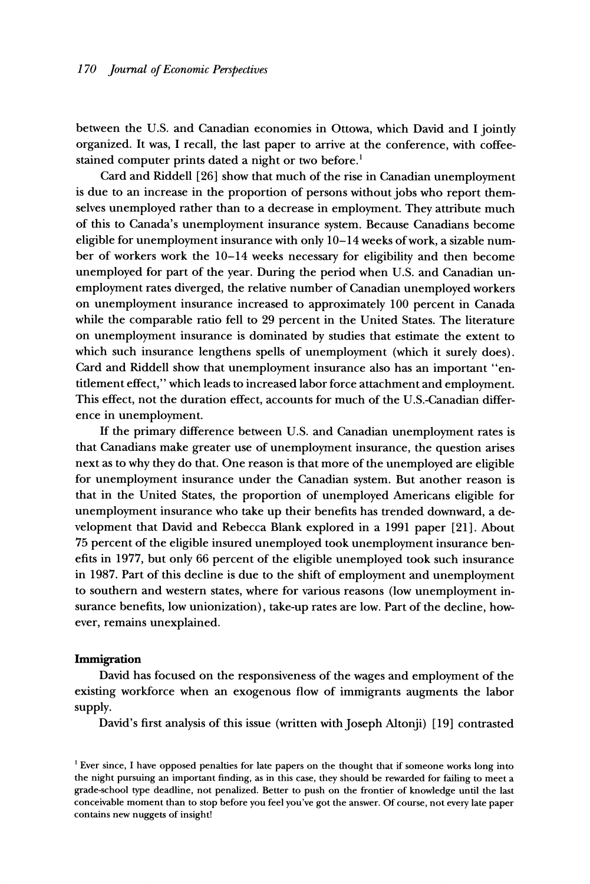**between the U.S. and Canadian economies in Ottowa, which David and I jointly organized. It was, I recall, the last paper to arrive at the conference, with coffeestained computer prints dated a night or two before.'** 

**Card and Riddell [26] show that much of the rise in Canadian unemployment is due to an increase in the proportion of persons without jobs who report themselves unemployed rather than to a decrease in employment. They attribute much of this to Canada's unemployment insurance system. Because Canadians become eligible for unemployment insurance with only 10-14 weeks of work, a sizable number of workers work the 10-14 weeks necessary for eligibility and then become unemployed for part of the year. During the period when U.S. and Canadian unemployment rates diverged, the relative number of Canadian unemployed workers on unemployment insurance increased to approximately 100 percent in Canada while the comparable ratio fell to 29 percent in the United States. The literature on unemployment insurance is dominated by studies that estimate the extent to which such insurance lengthens spells of unemployment (which it surely does). Card and Riddell show that unemployment insurance also has an important "entitlement effect," which leads to increased labor force attachment and employment. This effect, not the duration effect, accounts for much of the U.S.-Canadian difference in unemployment.** 

**If the primary difference between U.S. and Canadian unemployment rates is that Canadians make greater use of unemployment insurance, the question arises next as to why they do that. One reason is that more of the unemployed are eligible for unemployment insurance under the Canadian system. But another reason is that in the United States, the proportion of unemployed Americans eligible for unemployment insurance who take up their benefits has trended downward, a development that David and Rebecca Blank explored in a 1991 paper [21]. About 75 percent of the eligible insured unemployed took unemployment insurance benefits in 1977, but only 66 percent of the eligible unemployed took such insurance in 1987. Part of this decline is due to the shift of employment and unemployment to southern and western states, where for various reasons (low unemployment insurance benefits, low unionization), take-up rates are low. Part of the decline, however, remains unexplained.** 

#### **Immigration**

**David has focused on the responsiveness of the wages and employment of the existing workforce when an exogenous flow of immigrants augments the labor supply.** 

**David's first analysis of this issue (written with Joseph Altonji) [19] contrasted** 

**<sup>&#</sup>x27;Ever since, I have opposed penalties for late papers on the thought that if someone works long into the night pursuing an important finding, as in this case, they should be rewarded for failing to meet a grade-school type deadline, not penalized. Better to push on the frontier of knowledge until the last conceivable moment than to stop before you feel you've got the answer. Of course, not every late paper contains new nuggets of insight!**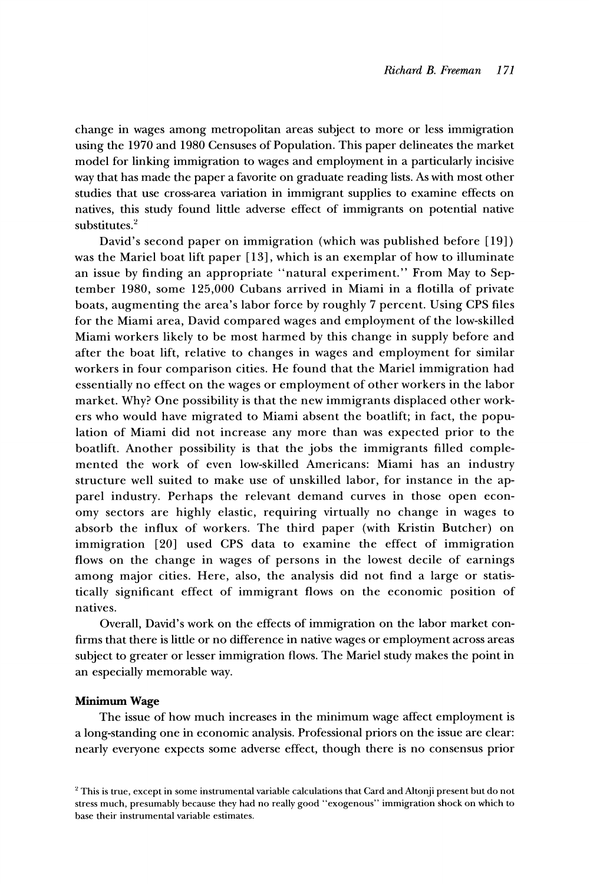**change in wages among metropolitan areas subject to more or less immigration using the 1970 and 1980 Censuses of Population. This paper delineates the market model for linking immigration to wages and employment in a particularly incisive way that has made the paper a favorite on graduate reading lists. As with most other studies that use cross-area variation in immigrant supplies to examine effects on natives, this study found little adverse effect of immigrants on potential native substitutes.2** 

**David's second paper on immigration (which was published before [19]) was the Mariel boat lift paper [13], which is an exemplar of how to illuminate an issue by finding an appropriate "natural experiment." From May to September 1980, some 125,000 Cubans arrived in Miami in a flotilla of private boats, augmenting the area's labor force by roughly 7 percent. Using CPS files for the Miami area, David compared wages and employment of the low-skilled Miami workers likely to be most harmed by this change in supply before and after the boat lift, relative to changes in wages and employment for similar workers in four comparison cities. He found that the Mariel immigration had essentially no effect on the wages or employment of other workers in the labor market. Why? One possibility is that the new immigrants displaced other workers who would have migrated to Miami absent the boatlift; in fact, the population of Miami did not increase any more than was expected prior to the boatlift. Another possibility is that the jobs the immigrants filled complemented the work of even low-skilled Americans: Miami has an industry structure well suited to make use of unskilled labor, for instance in the apparel industry. Perhaps the relevant demand curves in those open economy sectors are highly elastic, requiring virtually no change in wages to absorb the influx of workers. The third paper (with Kristin Butcher) on immigration [20] used CPS data to examine the effect of immigration flows on the change in wages of persons in the lowest decile of earnings among major cities. Here, also, the analysis did not find a large or statistically significant effect of immigrant flows on the economic position of natives.** 

**Overall, David's work on the effects of immigration on the labor market confirms that there is little or no difference in native wages or employment across areas subject to greater or lesser immigration flows. The Mariel study makes the point in an especially memorable way.** 

#### **Minimum Wage**

**The issue of how much increases in the minimum wage affect employment is a long-standing one in economic analysis. Professional priors on the issue are clear: nearly everyone expects some adverse effect, though there is no consensus prior** 

**<sup>2</sup>This is true, except in some instrumental variable calculations that Card and Altonji present but do not stress much, presumably because they had no really good "exogenous" immigration shock on which to base their instrumental variable estimates.**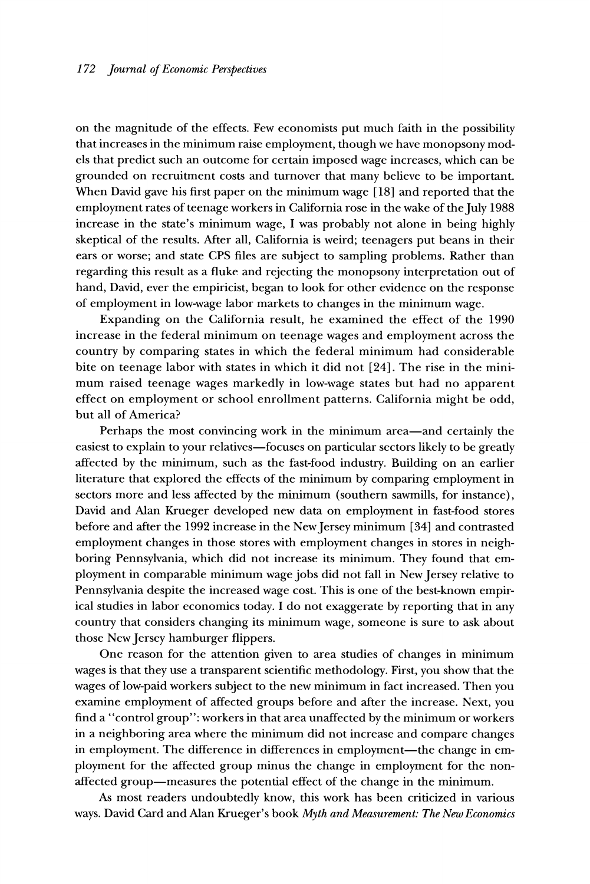**on the magnitude of the effects. Few economists put much faith in the possibility that increases in the minimum raise employment, though we have monopsony models that predict such an outcome for certain imposed wage increases, which can be grounded on recruitment costs and turnover that many believe to be important. When David gave his first paper on the minimum wage [18] and reported that the**  employment rates of teenage workers in California rose in the wake of the July 1988 **increase in the state's minimum wage, I was probably not alone in being highly skeptical of the results. After all, California is weird; teenagers put beans in their ears or worse; and state CPS files are subject to sampling problems. Rather than regarding this result as a fluke and rejecting the monopsony interpretation out of hand, David, ever the empiricist, began to look for other evidence on the response of employment in low-wage labor markets to changes in the minimum wage.** 

**Expanding on the California result, he examined the effect of the 1990 increase in the federal minimum on teenage wages and employment across the country by comparing states in which the federal minimum had considerable bite on teenage labor with states in which it did not [24]. The rise in the minimum raised teenage wages markedly in low-wage states but had no apparent effect on employment or school enrollment patterns. California might be odd, but all of America?** 

Perhaps the most convincing work in the minimum area-and certainly the **easiest to explain to your relatives-focuses on particular sectors likely to be greatly affected by the minimum, such as the fast-food industry. Building on an earlier literature that explored the effects of the minimum by comparing employment in sectors more and less affected by the minimum (southern sawmills, for instance), David and Alan Krueger developed new data on employment in fast-food stores before and after the 1992 increase in the NewJersey minimum [34] and contrasted employment changes in those stores with employment changes in stores in neighboring Pennsylvania, which did not increase its minimum. They found that employment in comparable minimum wage jobs did not fall in New Jersey relative to Pennsylvania despite the increased wage cost. This is one of the best-known empirical studies in labor economics today. I do not exaggerate by reporting that in any country that considers changing its minimum wage, someone is sure to ask about those NewJersey hamburger flippers.** 

**One reason for the attention given to area studies of changes in minimum wages is that they use a transparent scientific methodology. First, you show that the wages of low-paid workers subject to the new minimum in fact increased. Then you examine employment of affected groups before and after the increase. Next, you find a "control group": workers in that area unaffected by the minimum or workers in a neighboring area where the minimum did not increase and compare changes**  in employment. The difference in differences in employment—the change in em**ployment for the affected group minus the change in employment for the nonaffected group-measures the potential effect of the change in the minimum.** 

**As most readers undoubtedly know, this work has been criticized in various ways. David Card and Alan Krueger's book Myth and Measurement: The New Economics**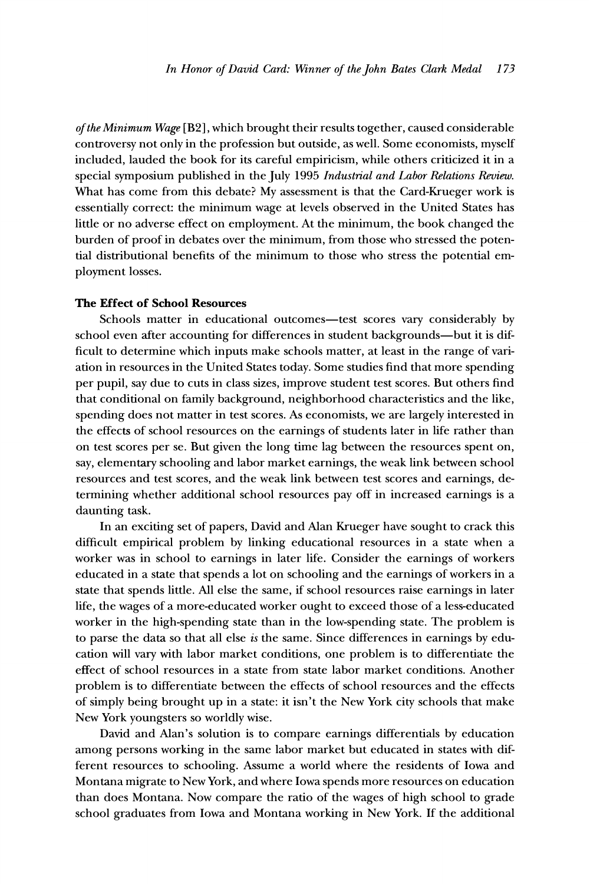**of the Minimum Wage [B2], which brought their results together, caused considerable controversy not only in the profession but outside, as well. Some economists, myself included, lauded the book for its careful empiricism, while others criticized it in a special symposium published in the July 1995 Industrial and Labor Relations Review. What has come from this debate? My assessment is that the Card-Krueger work is essentially correct: the minimum wage at levels observed in the United States has little or no adverse effect on employment. At the minimum, the book changed the burden of proof in debates over the minimum, from those who stressed the potential distributional benefits of the minimum to those who stress the potential employment losses.** 

#### **The Effect of School Resources**

Schools matter in educational outcomes-test scores vary considerably by school even after accounting for differences in student backgrounds-but it is dif**ficult to determine which inputs make schools matter, at least in the range of variation in resources in the United States today. Some studies find that more spending per pupil, say due to cuts in class sizes, improve student test scores. But others find that conditional on family background, neighborhood characteristics and the like, spending does not matter in test scores. As economists, we are largely interested in the effects of school resources on the earnings of students later in life rather than on test scores per se. But given the long time lag between the resources spent on, say, elementary schooling and labor market earnings, the weak link between school resources and test scores, and the weak link between test scores and earnings, determining whether additional school resources pay off in increased earnings is a daunting task.** 

**In an exciting set of papers, David and Alan Krueger have sought to crack this difficult empirical problem by linking educational resources in a state when a worker was in school to earnings in later life. Consider the earnings of workers educated in a state that spends a lot on schooling and the earnings of workers in a state that spends little. All else the same, if school resources raise earnings in later life, the wages of a more-educated worker ought to exceed those of a less-educated worker in the high-spending state than in the low-spending state. The problem is to parse the data so that all else is the same. Since differences in earnings by education will vary with labor market conditions, one problem is to differentiate the effect of school resources in a state from state labor market conditions. Another problem is to differentiate between the effects of school resources and the effects of simply being brought up in a state: it isn't the New York city schools that make New York youngsters so worldly wise.** 

**David and Alan's solution is to compare earnings differentials by education among persons working in the same labor market but educated in states with different resources to schooling. Assume a world where the residents of Iowa and Montana migrate to New York, and where Iowa spends more resources on education than does Montana. Now compare the ratio of the wages of high school to grade school graduates from Iowa and Montana working in New York. If the additional**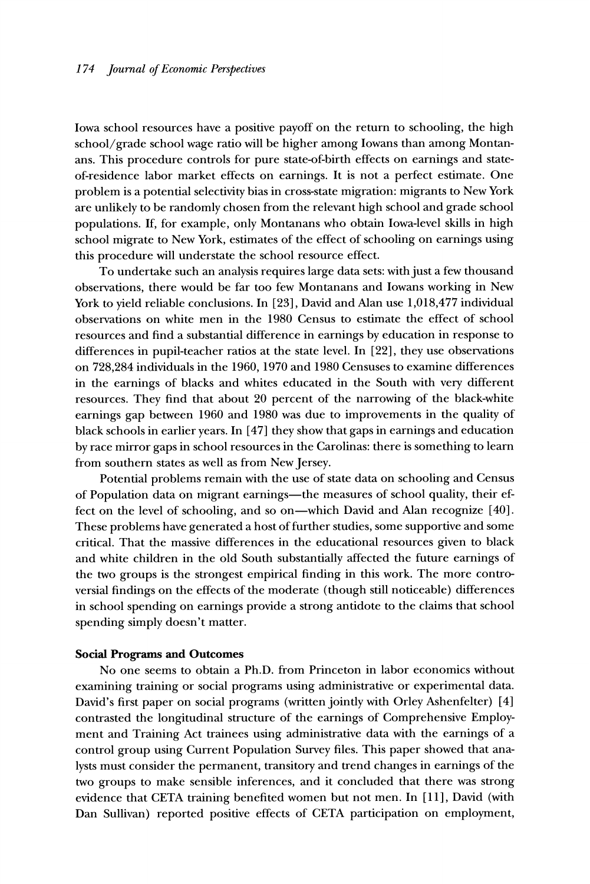**Iowa school resources have a positive payoff on the return to schooling, the high school/grade school wage ratio will be higher among Iowans than among Montanans. This procedure controls for pure state-of-birth effects on earnings and stateof-residence labor market effects on earnings. It is not a perfect estimate. One problem is a potential selectivity bias in cross-state migration: migrants to New York are unlikely to be randomly chosen from the relevant high school and grade school populations. If, for example, only Montanans who obtain Iowa-level skills in high school migrate to New York, estimates of the effect of schooling on earnings using this procedure will understate the school resource effect.** 

**To undertake such an analysis requires large data sets: with just a few thousand observations, there would be far too few Montanans and Iowans working in New York to yield reliable conclusions. In [23], David and Alan use 1,018,477 individual observations on white men in the 1980 Census to estimate the effect of school resources and find a substantial difference in earnings by education in response to differences in pupil-teacher ratios at the state level. In [22], they use observations on 728,284 individuals in the 1960, 1970 and 1980 Censuses to examine differences in the earnings of blacks and whites educated in the South with very different resources. They find that about 20 percent of the narrowing of the black-white earnings gap between 1960 and 1980 was due to improvements in the quality of black schools in earlier years. In [47] they show that gaps in earnings and education by race mirror gaps in school resources in the Carolinas: there is something to learn from southern states as well as from New Jersey.** 

**Potential problems remain with the use of state data on schooling and Census**  of Population data on migrant earnings—the measures of school quality, their ef**fect on the level of schooling, and so on-which David and Alan recognize [40]. These problems have generated a host of further studies, some supportive and some critical. That the massive differences in the educational resources given to black and white children in the old South substantially affected the future earnings of the two groups is the strongest empirical finding in this work. The more controversial findings on the effects of the moderate (though still noticeable) differences in school spending on earnings provide a strong antidote to the claims that school spending simply doesn't matter.** 

#### **Social Programs and Outcomes**

**No one seems to obtain a Ph.D. from Princeton in labor economics without examining training or social programs using administrative or experimental data.**  David's first paper on social programs (written jointly with Orley Ashenfelter) [4] **contrasted the longitudinal structure of the earnings of Comprehensive Employment and Training Act trainees using administrative data with the earnings of a control group using Current Population Survey files. This paper showed that analysts must consider the permanent, transitory and trend changes in earnings of the two groups to make sensible inferences, and it concluded that there was strong evidence that CETA training benefited women but not men. In [11], David (with Dan Sullivan) reported positive effects of CETA participation on employment,**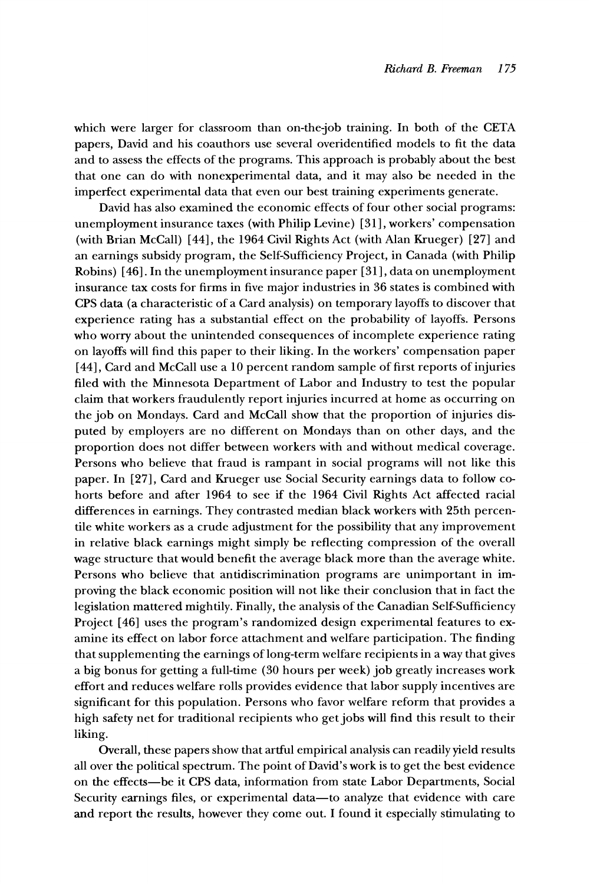**which were larger for classroom than on-the-job training. In both of the CETA papers, David and his coauthors use several overidentified models to fit the data and to assess the effects of the programs. This approach is probably about the best that one can do with nonexperimental data, and it may also be needed in the imperfect experimental data that even our best training experiments generate.** 

**David has also examined the economic effects of four other social programs: unemployment insurance taxes (with Philip Levine) [31 ], workers' compensation (with Brian McCall) [44], the 1964 Civil Rights Act (with Alan Krueger) [27] and an earnings subsidy program, the Self-Sufficiency Project, in Canada (with Philip Robins) [46]. In the unemployment insurance paper [31 ], data on unemployment insurance tax costs for firms in five major industries in 36 states is combined with CPS data (a characteristic of a Card analysis) on temporary layoffs to discover that experience rating has a substantial effect on the probability of layoffs. Persons who worry about the unintended consequences of incomplete experience rating on layoffs will find this paper to their liking. In the workers' compensation paper [44], Card and McCall use a 10 percent random sample of first reports of injuries filed with the Minnesota Department of Labor and Industry to test the popular claim that workers fraudulently report injuries incurred at home as occurring on the job on Mondays. Card and McCall show that the proportion of injuries disputed by employers are no different on Mondays than on other days, and the proportion does not differ between workers with and without medical coverage. Persons who believe that fraud is rampant in social programs will not like this paper. In [27], Card and Krueger use Social Security earnings data to follow cohorts before and after 1964 to see if the 1964 Civil Rights Act affected racial differences in earnings. They contrasted median black workers with 25th percentile white workers as a crude adjustment for the possibility that any improvement in relative black earnings might simply be reflecting compression of the overall wage structure that would benefit the average black more than the average white. Persons who believe that antidiscrimination programs are unimportant in improving the black economic position will not like their conclusion that in fact the legislation mattered mightily. Finally, the analysis of the Canadian Self-Sufficiency Project [46] uses the program's randomized design experimental features to examine its effect on labor force attachment and welfare participation. The finding that supplementing the earnings of long-term welfare recipients in a way that gives a big bonus for getting a full-time (30 hours per week) job greatly increases work effort and reduces welfare rolls provides evidence that labor supply incentives are significant for this population. Persons who favor welfare reform that provides a high safety net for traditional recipients who get jobs will find this result to their liking.** 

**Overall, these papers show that artful empirical analysis can readily yield results all over the political spectrum. The point of David's work is to get the best evidence on the effects-be it CPS data, information from state Labor Departments, Social**  Security earnings files, or experimental data—to analyze that evidence with care **and report the results, however they come out. I found it especially stimulating to**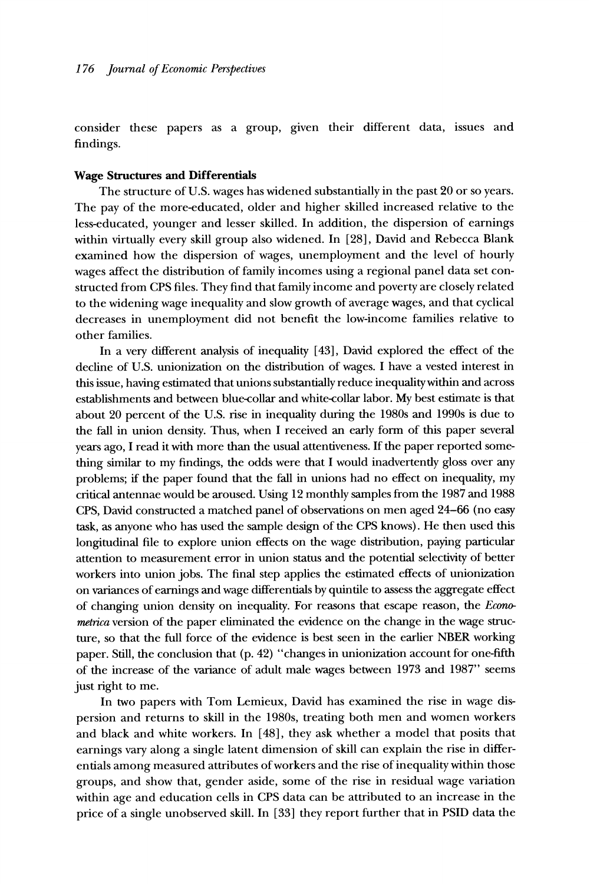**consider these papers as a group, given their different data, issues and findings.** 

#### **Wage Structures and Differentials**

**The structure of U.S. wages has widened substantially in the past 20 or so years. The pay of the more-educated, older and higher skilled increased relative to the less-educated, younger and lesser skilled. In addition, the dispersion of earnings within virtually every skill group also widened. In [28], David and Rebecca Blank examined how the dispersion of wages, unemployment and the level of hourly wages affect the distribution of family incomes using a regional panel data set constructed from CPS files. They find that family income and poverty are closely related to the widening wage inequality and slow growth of average wages, and that cyclical decreases in unemployment did not benefit the low-income families relative to other families.** 

**In a very different analysis of inequality [43], David explored the effect of the decline of U.S. unionization on the distribution of wages. I have a vested interest in this issue, having estimated that unions substantially reduce inequalitywithin and across establishments and between blue-collar and white-collar labor. My best estimate is that about 20 percent of the U.S. rise in inequality during the 1980s and 1990s is due to the fall in union density. Thus, when I received an early form of this paper several years ago, I read it with more than the usual attentiveness. If the paper reported something similar to my findings, the odds were that I would inadvertently gloss over any problems; if the paper found that the fall in unions had no effect on inequality, my critical antennae would be aroused. Using 12 monthly samples from the 1987 and 1988 CPS, David constructed a matched panel of observations on men aged 24-66 (no easy task, as anyone who has used the sample design of the CPS knows). He then used this longitudinal file to explore union effects on the wage distribution, paying particular attention to measurement error in union status and the potential selectivity of better workers into union jobs. The final step applies the estimated effects of unionization on variances of earnings and wage differentials by quintile to assess the aggregate effect of changing union density on inequality. For reasons that escape reason, the Econometrica version of the paper eliminated the evidence on the change in the wage structure, so that the full force of the evidence is best seen in the earlier NBER working paper. Still, the conclusion that (p. 42) "changes in unionization account for one-fifth of the increase of the variance of adult male wages between 1973 and 1987" seems just right to me.** 

**In two papers with Tom Lemieux, David has examined the rise in wage dispersion and returns to skill in the 1980s, treating both men and women workers and black and white workers. In [48], they ask whether a model that posits that earnings vary along a single latent dimension of skill can explain the rise in differentials among measured attributes of workers and the rise of inequality within those groups, and show that, gender aside, some of the rise in residual wage variation within age and education cells in CPS data can be attributed to an increase in the price of a single unobserved skill. In [33] they report further that in PSID data the**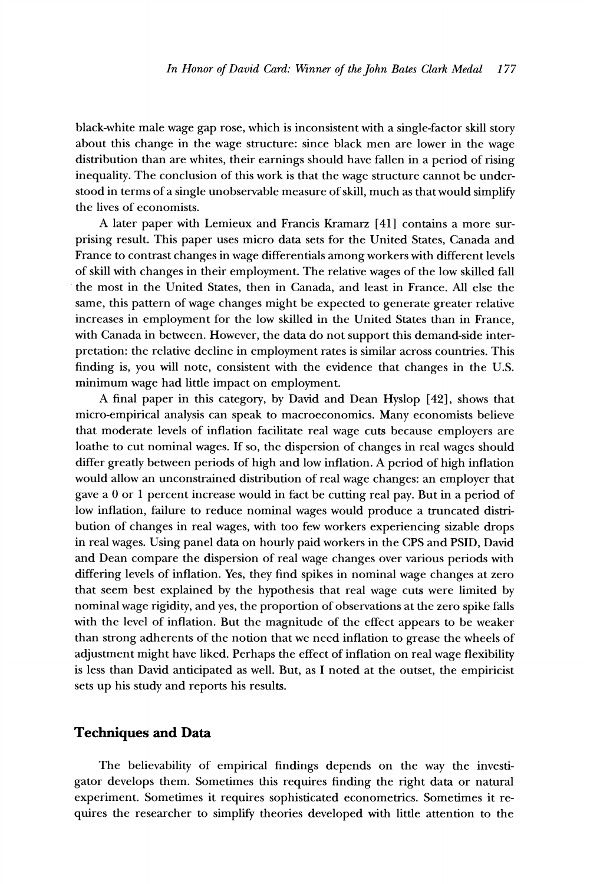**black-white male wage gap rose, which is inconsistent with a single-factor skill story about this change in the wage structure: since black men are lower in the wage distribution than are whites, their earnings should have fallen in a period of rising inequality. The conclusion of this work is that the wage structure cannot be understood in terms of a single unobservable measure of skill, much as that would simplify the lives of economists.** 

**A later paper with Lemieux and Francis Kramarz [41] contains a more surprising result. This paper uses micro data sets for the United States, Canada and France to contrast changes in wage differentials among workers with different levels of skill with changes in their employment. The relative wages of the low skilled fall the most in the United States, then in Canada, and least in France. All else the same, this pattern of wage changes might be expected to generate greater relative increases in employment for the low skilled in the United States than in France, with Canada in between. However, the data do not support this demand-side interpretation: the relative decline in employment rates is similar across countries. This finding is, you will note, consistent with the evidence that changes in the U.S. minimum wage had little impact on employment.** 

**A final paper in this category, by David and Dean Hyslop [42], shows that micro-empirical analysis can speak to macroeconomics. Many economists believe that moderate levels of inflation facilitate real wage cuts because employers are loathe to cut nominal wages. If so, the dispersion of changes in real wages should differ greatly between periods of high and low inflation. A period of high inflation would allow an unconstrained distribution of real wage changes: an employer that gave a 0 or 1 percent increase would in fact be cutting real pay. But in a period of low inflation, failure to reduce nominal wages would produce a truncated distribution of changes in real wages, with too few workers experiencing sizable drops in real wages. Using panel data on hourly paid workers in the CPS and PSID, David and Dean compare the dispersion of real wage changes over various periods with differing levels of inflation. Yes, they find spikes in nominal wage changes at zero that seem best explained by the hypothesis that real wage cuts were limited by nominal wage rigidity, and yes, the proportion of observations at the zero spike falls with the level of inflation. But the magnitude of the effect appears to be weaker than strong adherents of the notion that we need inflation to grease the wheels of adjustment might have liked. Perhaps the effect of inflation on real wage flexibility is less than David anticipated as well. But, as I noted at the outset, the empiricist sets up his study and reports his results.** 

### **Techniques and Data**

**The believability of empirical findings depends on the way the investigator develops them. Sometimes this requires finding the right data or natural experiment. Sometimes it requires sophisticated econometrics. Sometimes it requires the researcher to simplify theories developed with little attention to the**